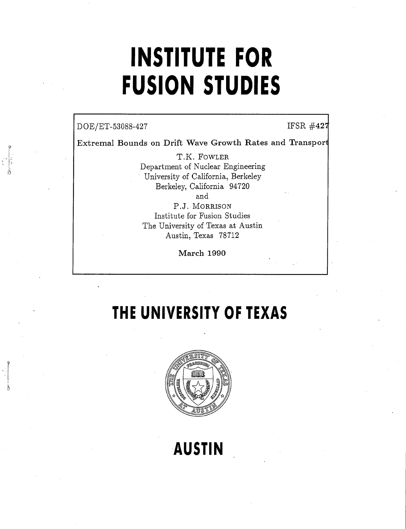# **INSTITUTE FOR FUSION STUDIES**

*DOEjET-53088-427* IFSR #42~

, 6

Extremal Bounds on Drift Wave Growth Rates and Transpor

T.K. FOWLER Department of Nuclear Engineering University of California, Berkeley Berkeley, California 94720 and P.J. MORRISON

Institute for Fusion Studies The University of Texas at Austin Austin, Texas 78712

March 1990

# **THE UNIVERSITY OF TEXAS**



# **AUSTIN**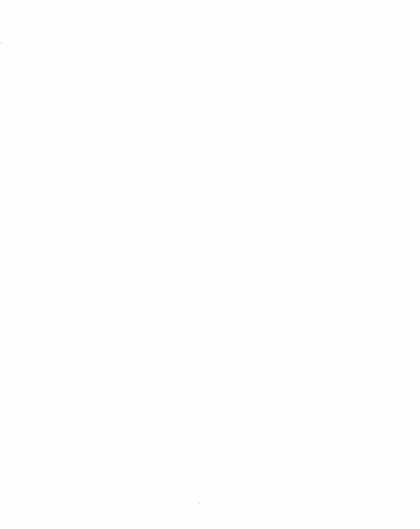$\frac{1}{2} \left( \frac{1}{2} \right)$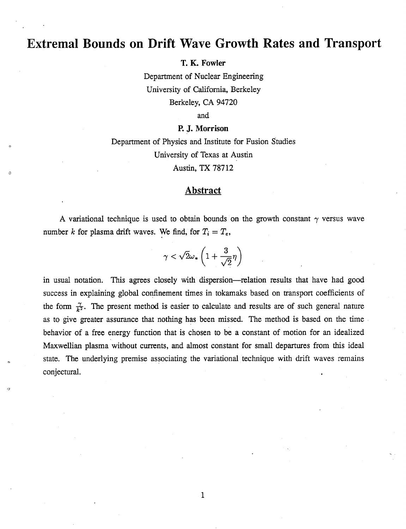# **Extremal Bounds on Drift Wave Growth Rates and Transport**

**T. K. Fowler** 

Department of Nuclear Engineering University of California, Berkeley Berkeley, CA 94720

and

#### **P. J. Morrison**

Department of Physics and Institute for Fusion Studies University of Texas at Austin Austin, TX 78712

#### **Abstract**

o

b

,[I

A variational technique is used to obtain bounds on the growth constant  $\gamma$  versus wave number *k* for plasma drift waves. We find, for  $T_i = T_e$ ,

$$
\gamma < \sqrt{2} \omega_* \left( 1 + \frac{3}{\sqrt{2}} \eta \right)
$$

in usual notation. This agrees closely with dispersion—relation results that have had good success in explaining global confinement times in tokamaks based on transport coefficients of the form  $\frac{\gamma}{k^2}$ . The present method is easier to calculate and results are of such general nature as to give greater assurance that nothing has been missed. The method is based on the time behavior of a free energy function that is chosen to be a constant of motion for an idealized Maxwellian plasma without currents, and almost constant for small departures from this ideal state. The underlying premise associating the variational technique with drift waves remains conjectural.

1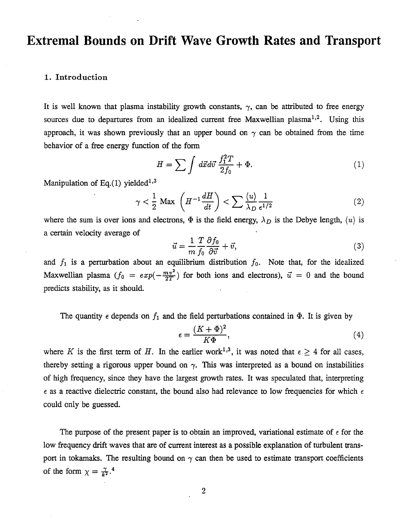## **Extremal Bounds on Drift Wave Growth Rates and Transport**

#### 1. Introduction

It is well known that plasma instability growth constants,  $\gamma$ , can be attributed to free energy sources due to departures from an idealized current free Maxwellian plasma<sup>1,2</sup>. Using this approach, it was shown previously that an upper bound on  $\gamma$  can be obtained from the time behavior of a free energy function of the form

$$
H = \sum \int d\vec{x} d\vec{v} \frac{f_1^2 T}{2f_0} + \Phi. \tag{1}
$$

Manipulation of Eq.(1) yielded<sup>1,3</sup>

$$
\gamma < \frac{1}{2} \text{ Max } \left( H^{-1} \frac{dH}{dt} \right) < \sum \frac{\langle u \rangle}{\lambda_D} \frac{1}{\epsilon^{1/2}} \tag{2}
$$

where the sum is over ions and electrons,  $\Phi$  is the field energy,  $\lambda_D$  is the Debye length,  $\langle u \rangle$  is

a certain velocity average of 
$$
\vec{u} = \frac{1}{m} \frac{T}{f_0} \frac{\partial f_0}{\partial \vec{v}} + \vec{v}, \tag{3}
$$

and  $f_1$  is a perturbation about an equilibrium distribution  $f_0$ . Note that, for the idealized Maxwellian plasma  $(f_0 = exp(-\frac{mv^2}{2T})$  for both ions and electrons),  $\vec{u} = 0$  and the bound predicts stability, as it should.

The quantity  $\epsilon$  depends on  $f_1$  and the field perturbations contained in  $\Phi$ . It is given by

$$
\epsilon = \frac{(K + \Phi)^2}{K\Phi},\tag{4}
$$

where K is the first term of H. In the earlier work<sup>1,3</sup>, it was noted that  $\epsilon \geq 4$  for all cases, thereby setting a rigorous upper bound on  $\gamma$ . This was interpreted as a bound on instabilities of high frequency, since they have the largest growth rates. It was speculated that, interpreting  $\epsilon$  as a reactive dielectric constant, the bound also had relevance to low frequencies for which  $\epsilon$ could only be guessed.

The purpose of the present paper is to obtain an improved, variational estimate of  $\epsilon$  for the low frequency drift waves that are of current interest as a possible explanation of turbulent transport in tokamaks. The resulting bound on  $\gamma$  can then be used to estimate transport coefficients of the form  $\chi = \frac{\gamma}{k^2}$ .<sup>4</sup>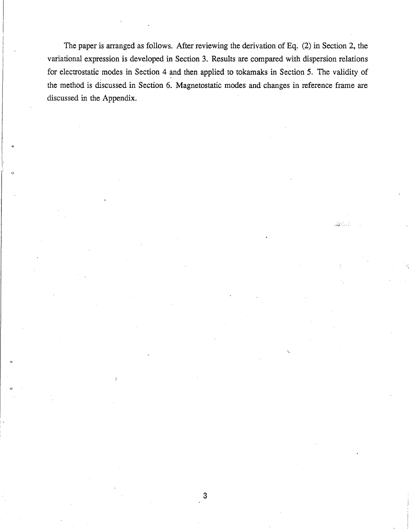The paper is arranged as follows. After reviewing the derivation of Eq. (2) in Section 2, the variational expression is developed in Section 3. Results are compared with dispersion relations for electrostatic modes in Section 4 and then applied to tokamaks in Section S. The validity of the method is discussed in Section 6. Magnetostatic modes and changes in reference frame are discussed in the Appendix.

Geb<sup>r</sup>

3

o

D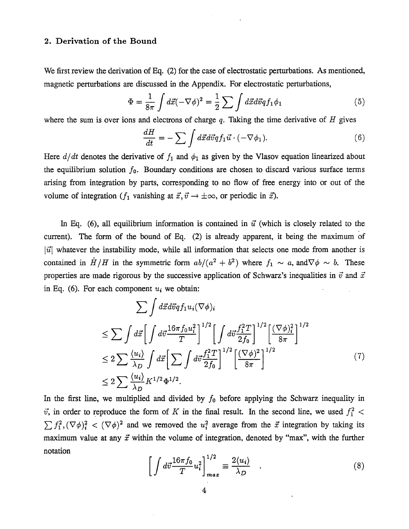#### 2. Derivation of the Bound

We first review the derivation of Eq. (2) for the case of electrostatic perturbations. As mentioned, magnetic perturbations are discussed in the Appendix. For electrostatic perturbations,

$$
\Phi = \frac{1}{8\pi} \int d\vec{x} (-\nabla \phi)^2 = \frac{1}{2} \sum \int d\vec{x} d\vec{v} q f_1 \phi_1 \tag{5}
$$

where the sum is over ions and electrons of charge q. Taking the time derivative of H gives

$$
\frac{dH}{dt} = -\sum \int d\vec{x} d\vec{v} q f_1 \vec{u} \cdot (-\nabla \phi_1). \tag{6}
$$

Here  $d/dt$  denotes the derivative of  $f_1$  and  $\phi_1$  as given by the Vlasov equation linearized about the equilibrium solution  $f_0$ . Boundary conditions are chosen to discard various surface terms arising from integration by parts, corresponding to no flow of free energy into or out of the volume of integration ( $f_1$  vanishing at  $\vec{x}, \vec{v} \rightarrow \pm \infty$ , or periodic in  $\vec{x}$ ).

In Eq. (6), all equilibrium information is contained in  $\vec{u}$  (which is closely related to the current). The form of the bound of Eq. (2) is already apparent, it being the maximum of  $|\vec{u}|$  whatever the instability mode, while all information that selects one mode from another is contained in  $H/H$  in the symmetric form  $ab/(a^2 + b^2)$  where  $f_1 \sim a$ , and  $\nabla \phi \sim b$ . These properties are made rigorous by the successive application of Schwarz's inequalities in  $\vec{v}$  and  $\vec{x}$ in Eq. (6). For each component *Ui* we obtain:

$$
\sum \int d\vec{x} d\vec{v} q f_1 u_i (\nabla \phi)_i
$$
\n
$$
\leq \sum \int d\vec{x} \left[ \int d\vec{v} \frac{16\pi f_0 u_i^2}{T} \right]^{1/2} \left[ \int d\vec{v} \frac{f_1^2 T}{2f_0} \right]^{1/2} \left[ \frac{(\nabla \phi)_i^2}{8\pi} \right]^{1/2}
$$
\n
$$
\leq 2 \sum \frac{\langle u_i \rangle}{\lambda_D} \int d\vec{x} \left[ \sum \int d\vec{v} \frac{f_1^2 T}{2f_0} \right]^{1/2} \left[ \frac{(\nabla \phi)^2}{8\pi} \right]^{1/2}
$$
\n
$$
\leq 2 \sum \frac{\langle u_i \rangle}{\lambda_D} K^{1/2} \Phi^{1/2}.
$$
\n(7)

In the first line, we multiplied and divided by  $f_0$  before applying the Schwarz inequality in  $\vec{v}$ , in order to reproduce the form of *K* in the final result. In the second line, we used  $f_1^2$  <  $\sum f_1^2$ ,  $(\nabla \phi)^2$   $\langle (\nabla \phi)^2 \rangle$  and we removed the  $u_i^2$  average from the  $\vec{x}$  integration by taking its maximum value at any  $\vec{x}$  within the volume of integration, denoted by "max", with the further notation

$$
\left[\int d\vec{v}\frac{16\pi f_0}{T}u_i^2\right]_{max}^{1/2} \equiv \frac{2\langle u_i \rangle}{\lambda_D} \quad . \tag{8}
$$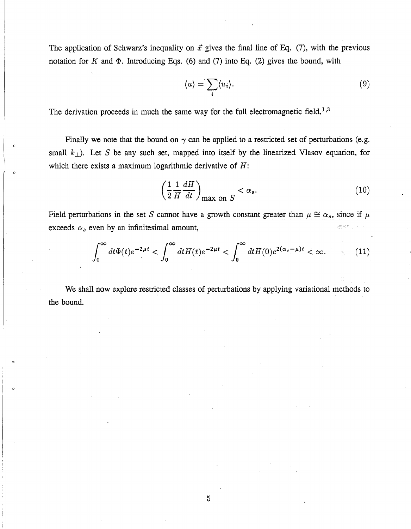The application of Schwarz's inequality on  $\vec{x}$  gives the final line of Eq. (7), with the previous notation for *K* and  $\Phi$ . Introducing Eqs. (6) and (7) into Eq. (2) gives the bound, with

$$
\langle u \rangle = \sum_{i} \langle u_i \rangle. \tag{9}
$$

The derivation proceeds in much the same way for the full electromagnetic field.<sup> $1,3$ </sup>

o

o

Finally we note that the bound on  $\gamma$  can be applied to a restricted set of perturbations (e.g. small  $k_{\perp}$ ). Let S be any such set, mapped into itself by the linearized Vlasov equation, for which there exists a maximum logarithmic derivative of *H:* 

$$
\left(\frac{1}{2}\frac{1}{H}\frac{dH}{dt}\right)_{\text{max on }S} < \alpha_s. \tag{10}
$$

Field perturbations in the set *S* cannot have a growth constant greater than  $\mu \cong \alpha_s$ , since if  $\mu$ exceeds  $\alpha_s$  even by an infinitesimal amount, janjući n

$$
\int_0^{\infty} dt \Phi(t) e^{-2\mu t} < \int_0^{\infty} dt H(t) e^{-2\mu t} < \int_0^{\infty} dt H(0) e^{2(\alpha_s - \mu)t} < \infty.
$$
 (11)

We shall now explore restricted classes of perturbations by applying variational methods to the bound.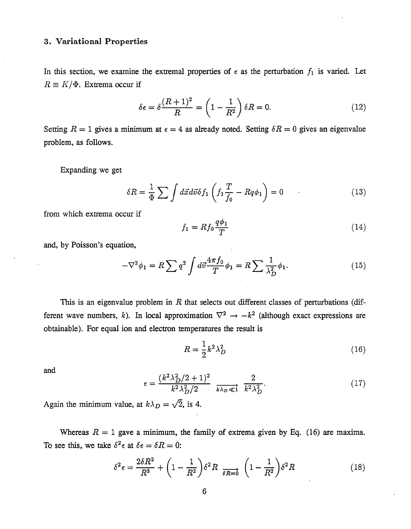#### 3. Variational Properties

In this section, we examine the extremal properties of  $\epsilon$  as the perturbation  $f_1$  is varied. Let  $R \equiv K/\Phi$ . Extrema occur if

$$
\delta \epsilon = \delta \frac{(R+1)^2}{R} = \left(1 - \frac{1}{R^2}\right) \delta R = 0. \tag{12}
$$

Setting  $R = 1$  gives a minimum at  $\epsilon = 4$  as already noted. Setting  $\delta R = 0$  gives an eigenvalue problem, as follows.

Expanding we get

$$
\delta R = \frac{1}{\Phi} \sum \int d\vec{x} d\vec{v} \delta f_1 \left( f_1 \frac{T}{f_0} - Rq \phi_1 \right) = 0 \tag{13}
$$

from which extrema occur if

$$
f_1 = Rf_0 \frac{q\phi_1}{T} \tag{14}
$$

and, by Poisson's equation,

$$
-\nabla^2 \phi_1 = R \sum q^2 \int d\vec{v} \frac{4\pi f_0}{T} \phi_1 = R \sum \frac{1}{\lambda_D^2} \phi_1.
$$
 (15)

This is an eigenvalue problem in *R* that selects out different classes of perturbations (different wave numbers, k). In local approximation  $\nabla^2 \rightarrow -k^2$  (although exact expressions are obtainable). For equal ion and electron temperatures the result is

$$
R = \frac{1}{2}k^2 \lambda_D^2 \tag{16}
$$

and

$$
\epsilon = \frac{(k^2 \lambda_D^2 / 2 + 1)^2}{k^2 \lambda_D^2 / 2} \frac{2}{k \lambda_D \ll 1} \frac{2}{k^2 \lambda_D^2}.
$$
 (17)

Again the minimum value, at  $k\lambda_D = \sqrt{2}$ , is 4.

Whereas  $R = 1$  gave a minimum, the family of extrema given by Eq. (16) are maxima. To see this, we take  $\delta^2 \epsilon$  at  $\delta \epsilon = \delta R = 0$ :

$$
\delta^2 \epsilon = \frac{2\delta R^2}{R^3} + \left(1 - \frac{1}{R^2}\right)\delta^2 R \xrightarrow[\delta R \to 0]{} \left(1 - \frac{1}{R^2}\right)\delta^2 R \tag{18}
$$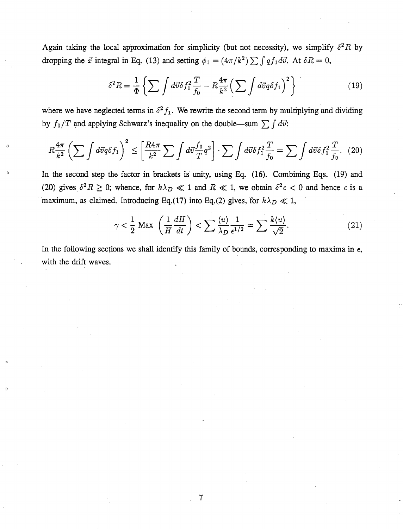Again taking the local approximation for simplicity (but not necessity), we simplify  $\delta^2 R$  by dropping the  $\vec{x}$  integral in Eq. (13) and setting  $\phi_1 = (4\pi/k^2) \sum \int q f_1 d\vec{v}$ . At  $\delta R = 0$ ,

$$
\delta^2 R = \frac{1}{\Phi} \left\{ \sum \int d\vec{v} \delta f_1^2 \frac{T}{f_0} - R \frac{4\pi}{k^2} \left( \sum \int d\vec{v} q \delta f_1 \right)^2 \right\} \tag{19}
$$

where we have neglected terms in  $\delta^2 f_1$ . We rewrite the second term by multiplying and dividing by  $f_0/T$  and applying Schwarz's inequality on the double-sum  $\sum \int d\vec{v}$ :

$$
R\frac{4\pi}{k^2}\left(\sum\int d\vec{v}q\delta f_1\right)^2 \le \left[\frac{R4\pi}{k^2}\sum\int d\vec{v}\frac{f_0}{T}q^2\right] \cdot \sum\int d\vec{v}\delta f_1^2\frac{T}{f_0} = \sum\int d\vec{v}\delta f_1^2\frac{T}{f_0}.\tag{20}
$$

o

*o* 

In the second step the factor in brackets is unity, using Eq. (16). Combining Eqs. (19) and (20) gives  $\delta^2 R \ge 0$ ; whence, for  $k\lambda_D \ll 1$  and  $R \ll 1$ , we obtain  $\delta^2 \epsilon < 0$  and hence  $\epsilon$  is a maximum, as claimed. Introducing Eq.(17) into Eq.(2) gives, for  $k\lambda_D \ll 1$ ,

$$
\gamma < \frac{1}{2} \text{ Max } \left( \frac{1}{H} \frac{dH}{dt} \right) < \sum \frac{\langle u \rangle}{\lambda_D} \frac{1}{\epsilon^{1/2}} = \sum \frac{k \langle u \rangle}{\sqrt{2}}. \tag{21}
$$

In the following sections we shall identify this family of bounds, corresponding to maxima in  $\epsilon$ , with the drift waves.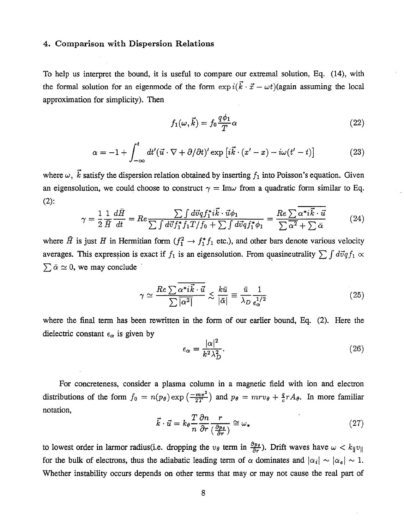#### 4. Comparison with Dispersion Relations

To help us interpret the bound, it is useful to compare our extremal solution, Eq. (14), with the formal solution for an eigenmode of the form  $\exp i(\vec{k} \cdot \vec{x} - \omega t)$  (again assuming the local approximation for simplicity). Then

$$
f_1(\omega, \vec{k}) = f_0 \frac{q\phi_1}{T} \alpha \tag{22}
$$

$$
\alpha = -1 + \int_{-\infty}^{t} dt' (\vec{u} \cdot \nabla + \partial/\partial t)' \exp\left[i\vec{k} \cdot (x' - x) - i\omega(t' - t)\right]
$$
(23)

where  $\omega$ ,  $\vec{k}$  satisfy the dispersion relation obtained by inserting  $f_1$  into Poisson's equation. Given an eigensolution, we could choose to construct  $\gamma = \text{Im}\omega$  from a quadratic form similar to Eq. (2):

$$
\gamma = \frac{1}{2} \frac{1}{\bar{H}} \frac{d\bar{H}}{dt} = Re \frac{\sum \int d\vec{v}q f_1^* i \vec{k} \cdot \vec{u} \phi_1}{\sum \int d\vec{v} f_1^* f_1 T / f_0 + \sum \int d\vec{v}q f_1^* \phi_1} = \frac{Re \sum \overline{\alpha^* i \vec{k} \cdot \vec{u}}}{\sum \overline{\alpha^2} + \sum \overline{\alpha}} \tag{24}
$$

where  $\bar{H}$  is just *H* in Hermitian form  $(f_1^2 \rightarrow f_1^* f_1$  etc.), and other bars denote various velocity averages. This expression is exact if  $f_1$  is an eigensolution. From quasineutrality  $\sum \int d\vec{v}q f_1 \propto$  $\sum \bar{\alpha} \simeq 0$ , we may conclude

$$
\gamma \simeq \frac{Re \sum \overline{\alpha^* i \vec{k} \cdot \vec{u}}}{\sum |\alpha^2|} \lesssim \frac{k \bar{u}}{|\bar{\alpha}|} \equiv \frac{\bar{u}}{\lambda_D} \frac{1}{\epsilon_{\alpha}^{1/2}} \tag{25}
$$

where the final term has been rewritten in the form of our earlier bound, Eq. (2). Here the dielectric constant  $\epsilon_{\alpha}$  is given by

$$
\epsilon_{\alpha} = \frac{|\alpha|^2}{k^2 \lambda_D^2}.\tag{26}
$$

For concreteness, consider a plasma column in a magnetic field with ion and electron distributions of the form  $f_0 = n(p_\theta) \exp\left(\frac{-mv^2}{2T}\right)$  and  $p_\theta = mrv_\theta + \frac{q}{c}rA_\theta$ . In more familiar notation,  $\vec{r}$   $\vec{r}$   $\vec{n}$   $T \partial n$  *r* 

$$
\vec{k} \cdot \vec{u} = k_{\theta} \frac{T}{n} \frac{\partial n}{\partial r} \frac{r}{\left(\frac{\partial p_{\theta}}{\partial r}\right)} \cong \omega_{*}
$$
\n(27)

to lowest order in larmor radius(i.e. dropping the  $v_{\theta}$  term in  $\frac{\partial p_{\theta}}{\partial r}$ ). Drift waves have  $\omega < k_{\|}v_{\|}$ for the bulk of electrons, thus the adiabatic leading term of  $\alpha$  dominates and  $|\alpha_i| \sim |\alpha_e| \sim 1$ . Whether instability occurs depends on other terms that mayor may not cause the real part of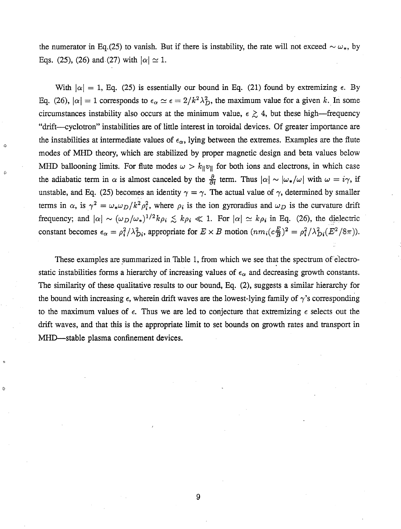the numerator in Eq.(25) to vanish. But if there is instability, the rate will not exceed  $\sim \omega_*$ , by Eqs. (25), (26) and (27) with  $|\alpha| \simeq 1$ .

With  $|\alpha| = 1$ , Eq. (25) is essentially our bound in Eq. (21) found by extremizing  $\epsilon$ . By Eq. (26),  $|\alpha| = 1$  corresponds to  $\epsilon_{\alpha} \simeq \epsilon = 2/k^2 \lambda_D^2$ , the maximum value for a given *k*. In some circumstances instability also occurs at the minimum value,  $\epsilon \gtrsim 4$ , but these high-frequency "drift--cyc1otron" instabilities are of little interest in toroidal devices. Of greater importance are the instabilities at intermediate values of  $\epsilon_{\alpha}$ , lying between the extremes. Examples are the flute modes of MHD theory, which are stabilized by proper magnetic design and beta values below MHD ballooning limits. For flute modes  $\omega > k_{\parallel}v_{\parallel}$  for both ions and electrons, in which case the adiabatic term in  $\alpha$  is almost canceled by the  $\frac{\partial}{\partial t}$  term. Thus  $|\alpha| \sim |\omega_*/\omega|$  with  $\omega = i\gamma$ , if unstable, and Eq. (25) becomes an identity  $\gamma = \gamma$ . The actual value of  $\gamma$ , determined by smaller terms in  $\alpha$ , is  $\gamma^2 = \omega_* \omega_D / k^2 \rho_i^2$ , where  $\rho_i$  is the ion gyroradius and  $\omega_D$  is the curvature drift frequency; and  $|\alpha| \sim (\omega_D/\omega_*)^{1/2} k_{\rho_i} \leq k_{\rho_i} \ll 1$ . For  $|\alpha| \simeq k_{\rho_i}$  in Eq. (26), the dielectric constant becomes  $\epsilon_{\alpha} = \rho_i^2/\lambda_{Di}^2$ , appropriate for  $E \times B$  motion  $(nm_i(c_{\overline{B}}^E)^2 = \rho_i^2/\lambda_{Di}^2(E^2/8\pi))$ .

o

D

These examples are summarized in Table 1, from which we see that the spectrum of electrostatic instabilities forms a hierarchy of increasing values of  $\epsilon_{\alpha}$  and decreasing growth constants. The similarity of these qualitative results to our bound, Eq. (2), suggests a similar hierarchy for the bound with increasing  $\epsilon$ , wherein drift waves are the lowest-lying family of  $\gamma$ 's corresponding to the maximum values of  $\epsilon$ . Thus we are led to conjecture that extremizing  $\epsilon$  selects out the drift waves, and that this is the appropriate limit to set bounds on growth rates and transport in MHD-stable plasma confinement devices.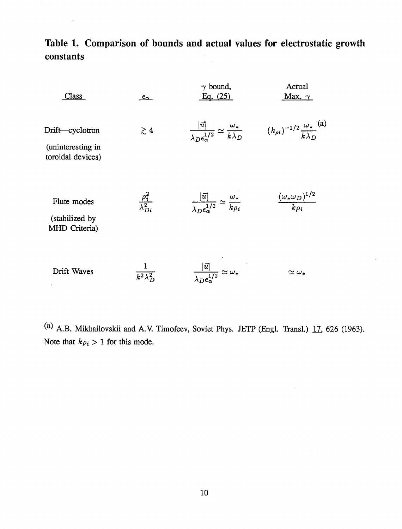# **Table 1. Comparison of bounds and actual values for electrostatic growth constants**

 $\ddot{\phantom{0}}$ 

| <b>Class</b>                                              | $\epsilon_{\alpha}$               | $\gamma$ bound,<br>Eq. $(25)$                                                 | Actual<br>Max. $\gamma$                                   |
|-----------------------------------------------------------|-----------------------------------|-------------------------------------------------------------------------------|-----------------------------------------------------------|
| Drift-cyclotron<br>(uninteresting in<br>toroidal devices) | $\gtrsim$ 4                       | $\frac{ \vec{u} }{\lambda_{DE}^{1/2}} \simeq \frac{\omega_*}{k \lambda_D}$    | $(k_{\rho i})^{-1/2} \frac{\omega_*}{k \lambda \tau}$ (a) |
| Flute modes<br>(stabilized by<br>MHD Criteria)            | $\frac{\rho_i^2}{\lambda_{Di}^2}$ | $\frac{ \vec{u} }{\lambda - \epsilon^{1/2}} \simeq \frac{\omega_*}{k \rho_i}$ | $\frac{(\omega_* \omega_D)^{1/2}}{k a}$                   |
| Drift Waves                                               | $\frac{1}{k^2 \lambda_D^2}$       | $\frac{ \vec{u} }{\lambda_D \epsilon_{\infty}^{1/2}} \simeq \omega_*$         | $\simeq \omega_*$                                         |

(a) A.B. Mikhailovskii and A.V. Timofeev, Soviet Phys. JETP (Engl. Transl.)  $17$ , 626 (1963). Note that  $k\rho_i > 1$  for this mode.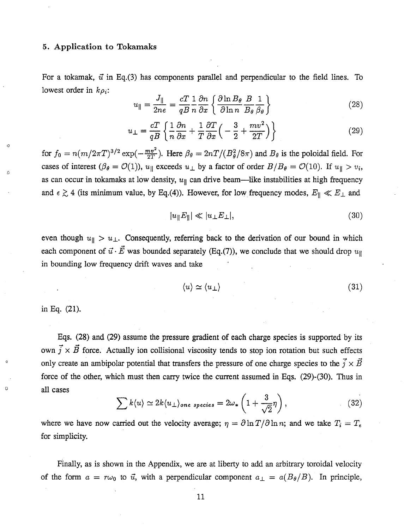#### 5. Application to Tokamaks

For a tokamak,  $\vec{u}$  in Eq.(3) has components parallel and perpendicular to the field lines. To lowest order in  $k\rho_i$ :

$$
u_{\parallel} = \frac{J_{\parallel}}{2ne} = \frac{cT}{qB} \frac{1}{n} \frac{\partial n}{\partial x} \left\{ \frac{\partial \ln B_{\theta}}{\partial \ln n} \frac{B}{B_{\theta}} \frac{1}{\beta_{\theta}} \right\} \tag{28}
$$

$$
u_{\perp} = \frac{cT}{qB} \left\{ \frac{1}{n} \frac{\partial n}{\partial x} + \frac{1}{T} \frac{\partial T}{\partial x} \left( -\frac{3}{2} + \frac{mv^2}{2T} \right) \right\} \tag{29}
$$

for  $f_0 = n(m/2\pi T)^{3/2} \exp(-\frac{mv^2}{2T})$ . Here  $\beta_\theta = 2nT/(B_\theta^2/8\pi)$  and  $B_\theta$  is the poloidal field. For cases of interest  $(\beta_{\theta} = \mathcal{O}(1))$ ,  $u_{\parallel}$  exceeds  $u_{\perp}$  by a factor of order  $B/B_{\theta} = \mathcal{O}(10)$ . If  $u_{\parallel} > v_i$ , as can occur in tokamaks at low density,  $u_{\parallel}$  can drive beam—like instabilities at high frequency and  $\epsilon \gtrsim 4$  (its minimum value, by Eq.(4)). However, for low frequency modes,  $E_{\parallel} \ll E_{\perp}$  and

$$
|u_{\parallel}E_{\parallel}| \ll |u_{\perp}E_{\perp}|,\tag{30}
$$

even though  $u_{\parallel} > u_{\perp}$ . Consequently, referring back to the derivation of our bound in which each component of  $\vec{u} \cdot \vec{E}$  was bounded separately (Eq.(7)), we conclude that we should drop  $u_{\parallel}$ in bounding low frequency drift waves and take

$$
\langle u \rangle \simeq \langle u_{\perp} \rangle \tag{31}
$$

in Eq. (21).

o

*D* 

Eqs. (28) and (29) assume the pressure gradient of each charge species is supported by its own  $\vec{j} \times \vec{B}$  force. Actually ion collisional viscosity tends to stop ion rotation but such effects only create an ambipolar potential that transfers the pressure of one charge species to the  $\vec{j} \times \vec{B}$ force of the other, which must then carry twice the current assumed in Eqs. (29)-(30). Thus in all cases

$$
\sum k \langle u \rangle \simeq 2k \langle u_{\perp} \rangle_{one \ species} = 2\omega_* \left( 1 + \frac{3}{\sqrt{2}} \eta \right), \tag{32}
$$

where we have now carried out the velocity average;  $\eta = \partial \ln T / \partial \ln n$ ; and we take  $T_i = T_e$ for simplicity.

Finally, as is shown in the Appendix, we are at liberty to add an arbitrary toroidal velocity of the form  $a = r\omega_0$  to  $\vec{u}$ , with a perpendicular component  $a_{\perp} = a(B_{\theta}/B)$ . In principle,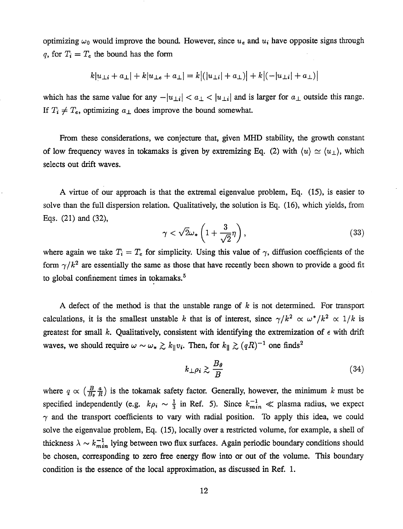optimizing  $\omega_0$  would improve the bound. However, since  $u_e$  and  $u_i$  have opposite signs through *q*, for  $T_i = T_e$  the bound has the form

$$
k|u_{\perp i} + a_{\perp}| + k|u_{\perp e} + a_{\perp}| = k|(|u_{\perp i}| + a_{\perp})| + k|(-|u_{\perp i}| + a_{\perp})|
$$

which has the same value for any  $-|u_{\perp i}| < a_{\perp} < |u_{\perp i}|$  and is larger for  $a_{\perp}$  outside this range. If  $T_i \neq T_e$ , optimizing  $a_{\perp}$  does improve the bound somewhat.

From these considerations, we conjecture that, given MHD stability, the growth constant of low frequency waves in tokamaks is given by extremizing Eq. (2) with  $\langle u \rangle \simeq \langle u_{\perp} \rangle$ , which selects out drift waves.

A virtue of our approach is that the extremal eigenvalue problem, Eq. (15), is easier to solve than the full dispersion relation. Qualitatively, the solution is Eq. (16), which yields, from Eqs. (21) and (32),

$$
\gamma < \sqrt{2}\omega_* \left(1 + \frac{3}{\sqrt{2}}\eta\right),\tag{33}
$$

where again we take  $T_i = T_e$  for simplicity. Using this value of  $\gamma$ , diffusion coefficients of the form  $\gamma/k^2$  are essentially the same as those that have recently been shown to provide a good fit to global confinement times in tokamaks.<sup>5</sup>

A defect of the method is that the unstable range of  $k$  is not determined. For transport calculations, it is the smallest unstable *k* that is of interest, since  $\gamma/k^2 \propto \omega^* / k^2 \propto 1/k$  is greatest for small k. Qualitatively, consistent with identifying the extremization of  $\epsilon$  with drift waves, we should require  $\omega \sim \omega_* \gtrsim k_{\parallel} v_i$ . Then, for  $k_{\parallel} \gtrsim (qR)^{-1}$  one finds<sup>2</sup>

$$
k_{\perp}\rho_i \gtrsim \frac{B_\theta}{B} \tag{34}
$$

where  $q \propto \left(\frac{B}{B_e} \frac{a}{R}\right)$  is the tokamak safety factor. Generally, however, the minimum k must be specified independently (e.g.  $k\rho_i \sim \frac{1}{3}$  in Ref. 5). Since  $k_{min}^{-1} \ll$  plasma radius, we expect  $\gamma$  and the transport coefficients to vary with radial position. To apply this idea, we could solve the eigenvalue problem, Eq. (15), locally over a restricted volume, for example, a shell of thickness  $\lambda \sim k_{min}^{-1}$  lying between two flux surfaces. Again periodic boundary conditions should be chosen, corresponding to zero free energy flow into or out of the volume. This boundary condition is the essence of the local approximation, as discussed in Ref. 1.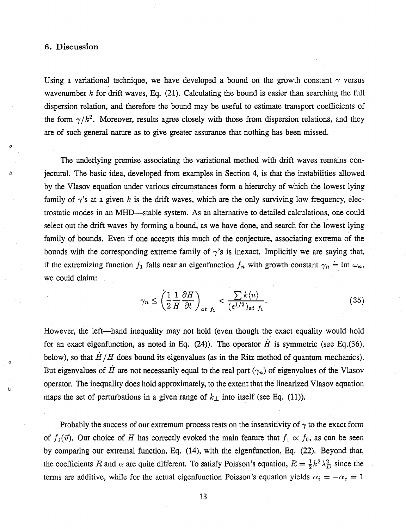#### 6. Discussion

a

o

D

Using a variational technique, we have developed a bound on the growth constant  $\gamma$  versus wavenumber *k* for drift waves, Eq. (21). Calculating the bound is easier than searching the full dispersion relation, and therefore the bound may be useful to estimate transport coefficients of the form  $\gamma/k^2$ . Moreover, results agree closely with those from dispersion relations, and they are of such general nature as to give greater assurance that nothing has been missed.

The underlying premise associating the variational method with drift waves remains conjectural. The basic idea, developed from examples in Section 4, is that the instabilities allowed by the Vlasov equation under various circumstances form a hierarchy of which the lowest lying family of  $\gamma$ 's at a given *k* is the drift waves, which are the only surviving low frequency, electrostatic modes in an MHO-stable system. As an alternative to detailed calculations, one could select out the drift waves by forming a bound, as we have done, and search for the lowest lying family of bounds. Even if one accepts this much of the conjecture, associating extrema of the bounds with the corresponding extreme family of  $\gamma$ 's is inexact. Implicitly we are saying that, if the extremizing function  $f_1$  falls near an eigenfunction  $f_n$  with growth constant  $\gamma_n = \text{Im } \omega_n$ , we could claim:

$$
\gamma_n \le \left(\frac{1}{2}\frac{1}{H}\frac{\partial H}{\partial t}\right)_{at\ f_1} < \frac{\sum k \langle u \rangle}{(\epsilon^{1/2})_{at\ f_1}}.\tag{35}
$$

However, the left-hand inequality may not hold (even though the exact equality would hold for an exact eigenfunction, as noted in Eq. (24)). The operator  $\dot{H}$  is symmetric (see Eq.(36), below), so that  $\dot{H}/H$  does bound its eigenvalues (as in the Ritz method of quantum mechanics). But eigenvalues of  $\hat{H}$  are not necessarily equal to the real part  $(\gamma_n)$  of eigenvalues of the Vlasov operator. The inequality does hold approximately, to the extent that the linearized Vlasov equation maps the set of perturbations in a given range of  $k_{\perp}$  into itself (see Eq. (11)).

Probably the success of our extremum process rests on the insensitivity of  $\gamma$  to the exact form of  $f_1(\vec{v})$ . Our choice of H has correctly evoked the main feature that  $f_1 \propto f_0$ , as can be seen by comparing our extremal function, Eq. (14), with the eigenfunction, Eq. (22). Beyond that, the coefficients R and  $\alpha$  are quite different. To satisfy Poisson's equation,  $R = \frac{1}{2}k^2\lambda_D^2$  since the terms are additive, while for the actual eigenfunction Poisson's equation yields  $\alpha_i = -\alpha_e = 1$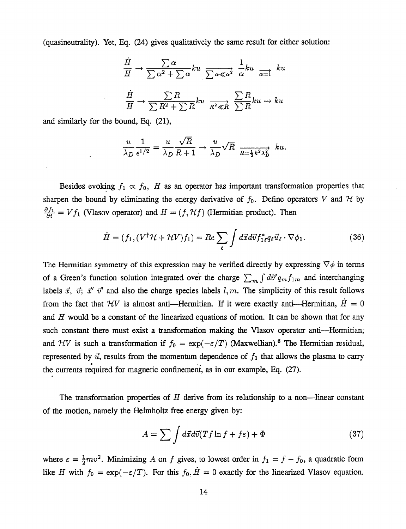(quasineutrality). Yet, Eq. (24) gives qualitatively the same result for either solution:

$$
\frac{\dot{H}}{H} \to \frac{\sum \alpha}{\sum \alpha^2 + \sum \alpha} ku \xrightarrow[\alpha \infty]{} \frac{1}{\alpha} ku \xrightarrow[\alpha \infty]{} ku
$$
\n
$$
\frac{\dot{H}}{H} \to \frac{\sum R}{\sum R^2 + \sum R} ku \xrightarrow[R^2 \infty]{} \frac{\sum R}{\sum R} ku \to ku
$$

and similarly for the bound, Eq. (21),

$$
\frac{u}{\lambda_D} \frac{1}{\epsilon^{1/2}} = \frac{u}{\lambda_D} \frac{\sqrt{R}}{R+1} \to \frac{u}{\lambda_D} \sqrt{R} \xrightarrow[R=\frac{1}{2}k^2 \lambda_D^2] k u.
$$

Besides evoking  $f_1 \propto f_0$ , *H* as an operator has important transformation properties that sharpen the bound by eliminating the energy derivative of  $f_0$ . Define operators V and H by  $\frac{\partial f_1}{\partial t} = Vf_1$  (Vlasov operator) and  $H = (f, Hf)$  (Hermitian product). Then

$$
\dot{H} = (f_1, (V^{\dagger} \mathcal{H} + \mathcal{H} V)f_1) = Re \sum_{\ell} \int d\vec{x} d\vec{v} f_{1\ell}^* q_{\ell} \vec{u}_{\ell} \cdot \nabla \phi_1.
$$
 (36)

The Hermitian symmetry of this expression may be verified directly by expressing  $\nabla \phi$  in terms of a Green's function solution integrated over the charge  $\sum_{m} \int d\vec{v}' q_m f_{1m}$  and interchanging labels  $\vec{x}$ ,  $\vec{v}$ ;  $\vec{x}'$   $\vec{v}'$  and also the charge species labels *l, m.* The simplicity of this result follows from the fact that  $\mathcal{H}V$  is almost anti-Hermitian. If it were exactly anti-Hermitian,  $\dot{H} = 0$ and *H* would be a constant of the linearized equations of motion. It can be shown that for any such constant there must exist a transformation making the Vlasov operator anti-Hermitian; and  $\mathcal{H}V$  is such a transformation if  $f_0 = \exp(-\varepsilon/T)$  (Maxwellian).<sup>6</sup> The Hermitian residual, represented by  $\vec{u}$ , results from the momentum dependence of  $f_0$  that allows the plasma to carry the currents required for magnetic confinement, as in our example, Eq. (27).

The transformation properties of  $H$  derive from its relationship to a non-linear constant of the motion, namely the Helmholtz free energy given by:

$$
A = \sum \int d\vec{x} d\vec{v} (Tf \ln f + f\epsilon) + \Phi \tag{37}
$$

where  $\varepsilon = \frac{1}{2}mv^2$ . Minimizing *A* on *f* gives, to lowest order in  $f_1 = f - f_0$ , a quadratic form like *H* with  $f_0 = \exp(-\epsilon/T)$ . For this  $f_0$ ,  $\dot{H} = 0$  exactly for the linearized Vlasov equation.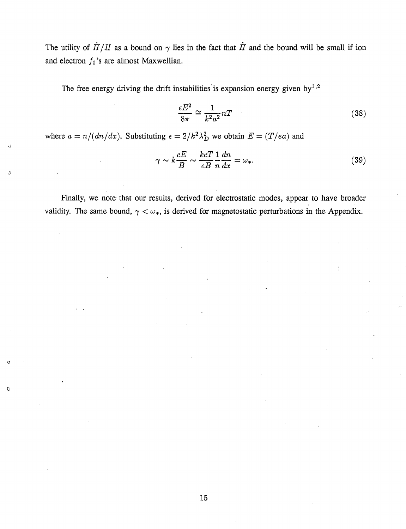The utility of  $H/H$  as a bound on  $\gamma$  lies in the fact that H and the bound will be small if ion and electron *fa's* are almost Maxwellian.

The free energy driving the drift instabilities is expansion energy given by<sup>1,2</sup>

$$
\frac{\epsilon E^2}{8\pi} \cong \frac{1}{k^2 a^2} nT \tag{38}
$$

where  $a = n/(dn/dx)$ . Substituting  $\epsilon = 2/k^2 \lambda_D^2$  we obtain  $E = (T/ea)$  and

*D* 

o

D

$$
\gamma \sim k \frac{cE}{B} \sim \frac{kcT}{eB} \frac{1}{n} \frac{dn}{dx} = \omega_*.
$$
\n(39)

Finally, we note that our results, derived for electrostatic modes, appear to have broader validity. The same bound,  $\gamma < \omega_*$ , is derived for magnetostatic perturbations in the Appendix.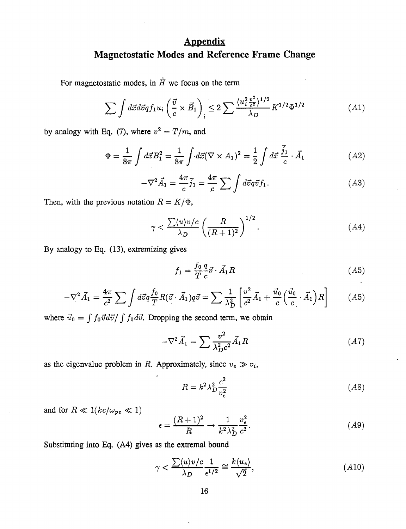### **Appendix Magnetostatic Modes and Reference Frame Change**

For magnetostatic modes, in  $\dot{H}$  we focus on the term

$$
\sum \int d\vec{x} d\vec{v} q f_1 u_i \left(\frac{\vec{v}}{c} \times \vec{B}_1\right)_i \le 2 \sum \frac{\langle u_i^2 \frac{v^2}{c^2} \rangle^{1/2}}{\lambda_D} K^{1/2} \Phi^{1/2}
$$
 (A1)

by analogy with Eq. (7), where  $v^2 = T/m$ , and

$$
\Phi = \frac{1}{8\pi} \int d\vec{x} B_1^2 = \frac{1}{8\pi} \int d\vec{x} (\nabla \times A_1)^2 = \frac{1}{2} \int d\vec{x} \frac{\dot{j}_1}{c} \cdot \vec{A}_1
$$
(A2)

$$
-\nabla^2 \vec{A}_1 = \frac{4\pi}{c} \vec{j}_1 = \frac{4\pi}{c} \sum \int d\vec{v} q \vec{v} f_1.
$$
 (A3)

Then, with the previous notation  $R = K/\Phi$ ,

$$
\gamma < \frac{\sum \langle u \rangle v/c}{\lambda_D} \left( \frac{R}{(R+1)^2} \right)^{1/2} . \tag{A4}
$$

By analogy to Eq.  $(13)$ , extremizing gives

$$
f_1 = \frac{f_0}{T} \frac{q}{c} \vec{v} \cdot \vec{A}_1 R \tag{A5}
$$

$$
-\nabla^2 \vec{A}_1 = \frac{4\pi}{c^2} \sum \int d\vec{v} q \frac{f_0}{T} R(\vec{v} \cdot \vec{A}_1) q \vec{v} = \sum \frac{1}{\lambda_D^2} \left[ \frac{v^2}{c^2} \vec{A}_1 + \frac{\vec{u}_0}{c} \left( \frac{\vec{u}_0}{c} \cdot \vec{A}_1 \right) R \right]
$$
(A5)

where  $\vec{u}_0 = \int f_0 \vec{v} d\vec{v} / \int f_0 d\vec{v}$ . Dropping the second term, we obtain

$$
-\nabla^2 \vec{A}_1 = \sum \frac{v^2}{\lambda_D^2 c^2} \vec{A}_1 R \tag{A7}
$$

as the eigenvalue problem in *R*. Approximately, since  $v_e \gg v_i$ ,

$$
R = k^2 \lambda_D^2 \frac{c^2}{v_e^2} \tag{A8}
$$

and for  $R \ll 1(kc/\omega_{pe} \ll 1)$ 

$$
\epsilon = \frac{(R+1)^2}{R} \to \frac{1}{k^2 \lambda_D^2} \frac{v_e^2}{c^2}.
$$
\n(A9)

Substituting into Eq. (A4) gives as the extremal bound

$$
\gamma < \frac{\sum \langle u \rangle v/c}{\lambda_D} \frac{1}{\epsilon^{1/2}} \cong \frac{k \langle u_\epsilon \rangle}{\sqrt{2}},\tag{A10}
$$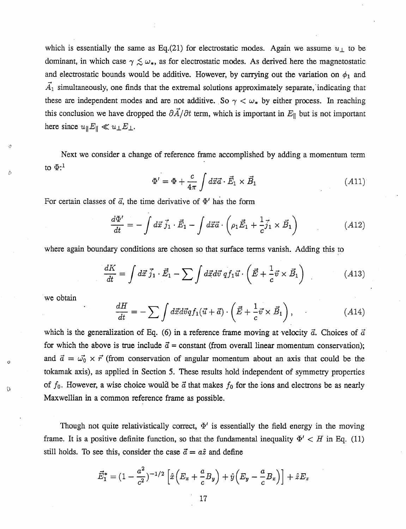which is essentially the same as Eq.(21) for electrostatic modes. Again we assume  $u_{\perp}$  to be dominant, in which case  $\gamma \lesssim \omega_*$ , as for electrostatic modes. As derived here the magnetostatic and electrostatic bounds would be additive. However, by carrying out the variation on  $\phi_1$  and  $\overline{A}_1$  simultaneously, one finds that the extremal solutions approximately separate, indicating that these are independent modes and are not additive. So  $\gamma < \omega_*$  by either process. In reaching this conclusion we have dropped the  $\partial \vec{A}/\partial t$  term, which is important in  $E_{\parallel}$  but is not important here since  $u_{\parallel}E_{\parallel} \ll u_{\perp}E_{\perp}$ .

Next we consider a change of reference frame accomplished by adding a momentum term to  $\Phi$ <sup>1</sup>

$$
\Phi' = \Phi + \frac{c}{4\pi} \int d\vec{x} \vec{a} \cdot \vec{E}_1 \times \vec{B}_1 \tag{A11}
$$

For certain classes of  $\vec{a}$ , the time derivative of  $\Phi'$  has the form

$$
\frac{d\Phi'}{dt} = -\int d\vec{x} \, \vec{j}_1 \cdot \vec{E}_1 - \int d\vec{x} \, d\cdot \left(\rho_1 \vec{E}_1 + \frac{1}{c} \vec{j}_1 \times \vec{B}_1\right) \tag{A12}
$$

where again boundary conditions are chosen so that surface terms vanish. Adding this to

$$
\frac{dK}{dt} = \int d\vec{x} \, \vec{j}_1 \cdot \vec{E}_1 - \sum \int d\vec{x} d\vec{v} \, q f_1 \vec{u} \cdot \left( \vec{E} + \frac{1}{c} \vec{v} \times \vec{B}_1 \right) \tag{A13}
$$

we obtain

 $\mathcal{O}_{\mathbb{C}}$ 

*o* 

D

$$
\frac{dH}{dt} = -\sum \int d\vec{x}d\vec{v}q f_1(\vec{u} + \vec{a}) \cdot \left(\vec{E} + \frac{1}{c}\vec{v} \times \vec{B}_1\right), \tag{A14}
$$

which is the generalization of Eq. (6) in a reference frame moving at velocity  $\vec{a}$ . Choices of  $\vec{a}$ for which the above is true include  $\vec{a}$  = constant (from overall linear momentum conservation); and  $\vec{a} = \vec{\omega_0} \times \vec{r}$  (from conservation of angular momentum about an axis that could be the tokamak axis), as applied in Section 5. These results hold independent of symmetry properties of  $f_0$ . However, a wise choice would be  $\vec{a}$  that makes  $f_0$  for the ions and electrons be as nearly Maxwellian in a common reference frame as possible.

Though not quite relativistically correct,  $\Phi'$  is essentially the field energy in the moving frame. It is a positive definite function, so that the fundamental inequality  $\Phi' < H$  in Eq. (11) still holds. To see this, consider the case  $\vec{a} = a\hat{z}$  and define

$$
\vec{E}_1^* = (1 - \frac{a^2}{c^2})^{-1/2} \left[ \hat{x} \left( E_x + \frac{a}{c} B_y \right) + \hat{y} \left( E_y - \frac{a}{c} B_x \right) \right] + \hat{z} E_z
$$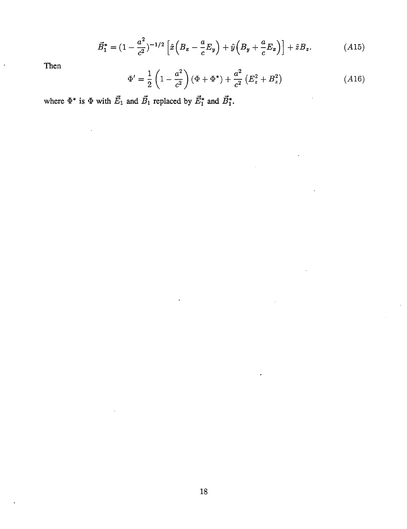$$
\vec{B}_{1}^{*} = (1 - \frac{a^{2}}{c^{2}})^{-1/2} \left[ \hat{x} \left( B_{x} - \frac{a}{c} E_{y} \right) + \hat{y} \left( B_{y} + \frac{a}{c} E_{x} \right) \right] + \hat{z} B_{z}.
$$
 (A15)

Then

 $\ddot{\phantom{a}}$ 

$$
\Phi' = \frac{1}{2} \left( 1 - \frac{a^2}{c^2} \right) (\Phi + \Phi^*) + \frac{a^2}{c^2} \left( E_z^2 + B_z^2 \right) \tag{A16}
$$

where  $\Phi^*$  is  $\Phi$  with  $\vec{E}_1$  and  $\vec{B}_1$  replaced by  $\vec{E}_1^*$  and  $\vec{B}_1^*$ .